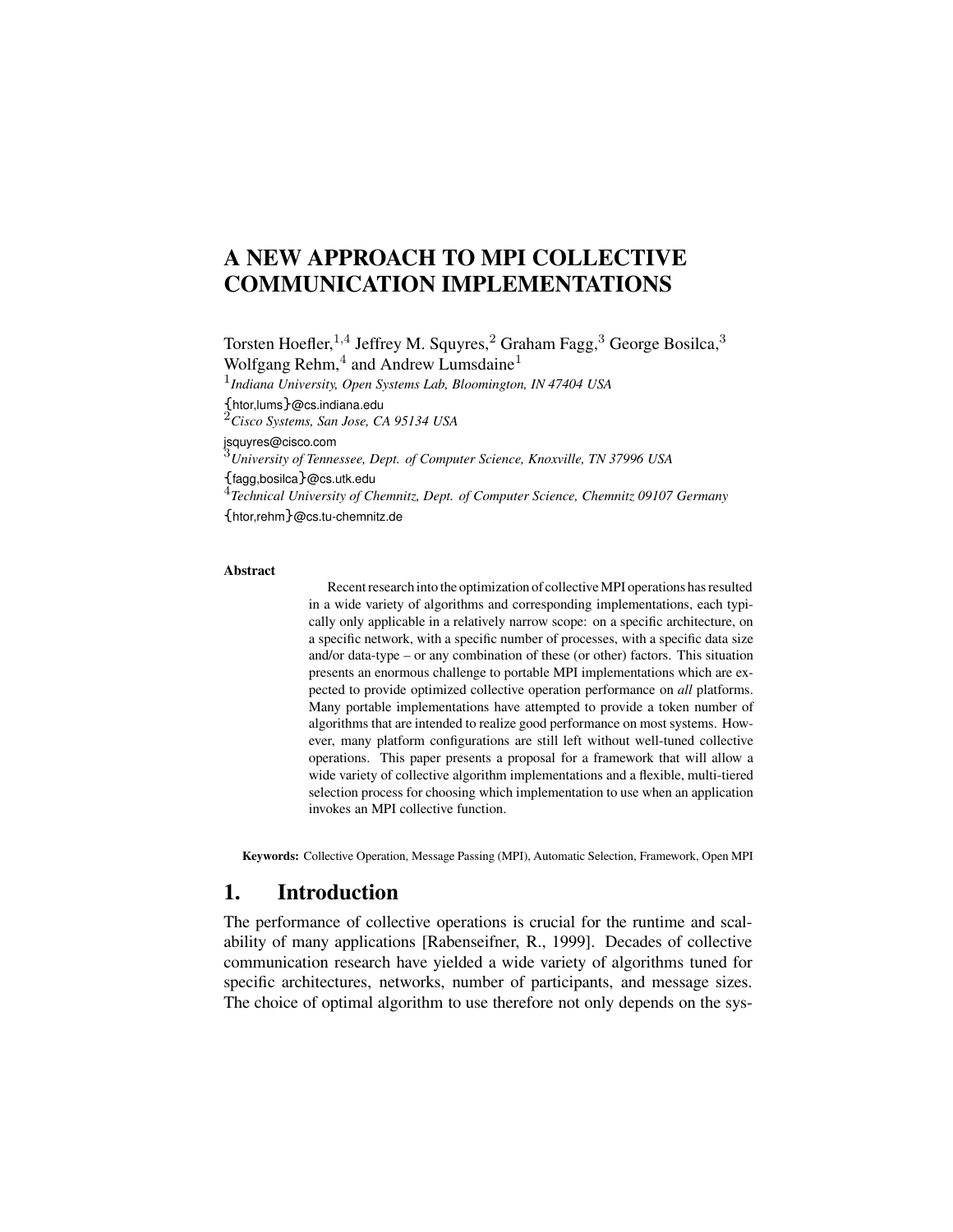# **A NEW APPROACH TO MPI COLLECTIVE COMMUNICATION IMPLEMENTATIONS**

Torsten Hoefler,<sup>1,4</sup> Jeffrey M. Squyres,<sup>2</sup> Graham Fagg,<sup>3</sup> George Bosilca,<sup>3</sup> Wolfgang Rehm, $4$  and Andrew Lumsdaine $1$ 1 *Indiana University, Open Systems Lab, Bloomington, IN 47404 USA* {htor,lums}@cs.indiana.edu <sup>2</sup>*Cisco Systems, San Jose, CA 95134 USA* jsquyres@cisco.com <sup>3</sup>*University of Tennessee, Dept. of Computer Science, Knoxville, TN 37996 USA*

{fagg,bosilca}@cs.utk.edu 4 *Technical University of Chemnitz, Dept. of Computer Science, Chemnitz 09107 Germany* {htor,rehm}@cs.tu-chemnitz.de

#### **Abstract**

Recent research into the optimization of collective MPI operations has resulted in a wide variety of algorithms and corresponding implementations, each typically only applicable in a relatively narrow scope: on a specific architecture, on a specific network, with a specific number of processes, with a specific data size and/or data-type – or any combination of these (or other) factors. This situation presents an enormous challenge to portable MPI implementations which are expected to provide optimized collective operation performance on *all* platforms. Many portable implementations have attempted to provide a token number of algorithms that are intended to realize good performance on most systems. However, many platform configurations are still left without well-tuned collective operations. This paper presents a proposal for a framework that will allow a wide variety of collective algorithm implementations and a flexible, multi-tiered selection process for choosing which implementation to use when an application invokes an MPI collective function.

**Keywords:** Collective Operation, Message Passing (MPI), Automatic Selection, Framework, Open MPI

### **1. Introduction**

The performance of collective operations is crucial for the runtime and scalability of many applications [Rabenseifner, R., 1999]. Decades of collective communication research have yielded a wide variety of algorithms tuned for specific architectures, networks, number of participants, and message sizes. The choice of optimal algorithm to use therefore not only depends on the sys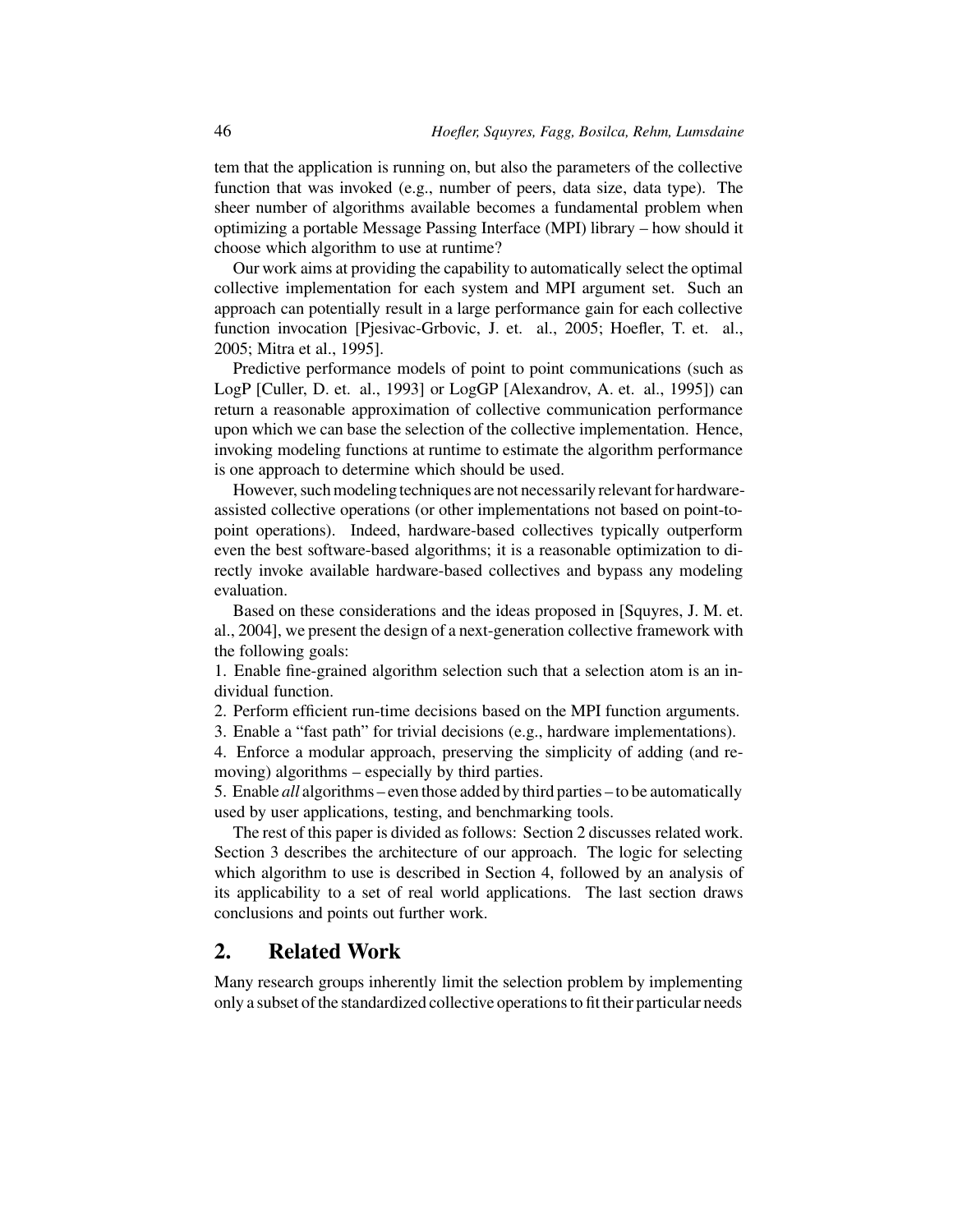tem that the application is running on, but also the parameters of the collective function that was invoked (e.g., number of peers, data size, data type). The sheer number of algorithms available becomes a fundamental problem when optimizing a portable Message Passing Interface (MPI) library – how should it choose which algorithm to use at runtime?

Our work aims at providing the capability to automatically select the optimal collective implementation for each system and MPI argument set. Such an approach can potentially result in a large performance gain for each collective function invocation [Pjesivac-Grbovic, J. et. al., 2005; Hoefler, T. et. al., 2005; Mitra et al., 1995].

Predictive performance models of point to point communications (such as LogP [Culler, D. et. al., 1993] or LogGP [Alexandrov, A. et. al., 1995]) can return a reasonable approximation of collective communication performance upon which we can base the selection of the collective implementation. Hence, invoking modeling functions at runtime to estimate the algorithm performance is one approach to determine which should be used.

However, such modeling techniques are not necessarily relevant for hardwareassisted collective operations (or other implementations not based on point-topoint operations). Indeed, hardware-based collectives typically outperform even the best software-based algorithms; it is a reasonable optimization to directly invoke available hardware-based collectives and bypass any modeling evaluation.

Based on these considerations and the ideas proposed in [Squyres, J. M. et. al., 2004], we present the design of a next-generation collective framework with the following goals:

1. Enable fine-grained algorithm selection such that a selection atom is an individual function.

2. Perform efficient run-time decisions based on the MPI function arguments.

3. Enable a "fast path" for trivial decisions (e.g., hardware implementations).

4. Enforce a modular approach, preserving the simplicity of adding (and removing) algorithms – especially by third parties.

5. Enable *all* algorithms – even those added by third parties – to be automatically used by user applications, testing, and benchmarking tools.

The rest of this paper is divided as follows: Section 2 discusses related work. Section 3 describes the architecture of our approach. The logic for selecting which algorithm to use is described in Section 4, followed by an analysis of its applicability to a set of real world applications. The last section draws conclusions and points out further work.

### **2. Related Work**

Many research groups inherently limit the selection problem by implementing only a subset ofthe standardized collective operationsto fit their particular needs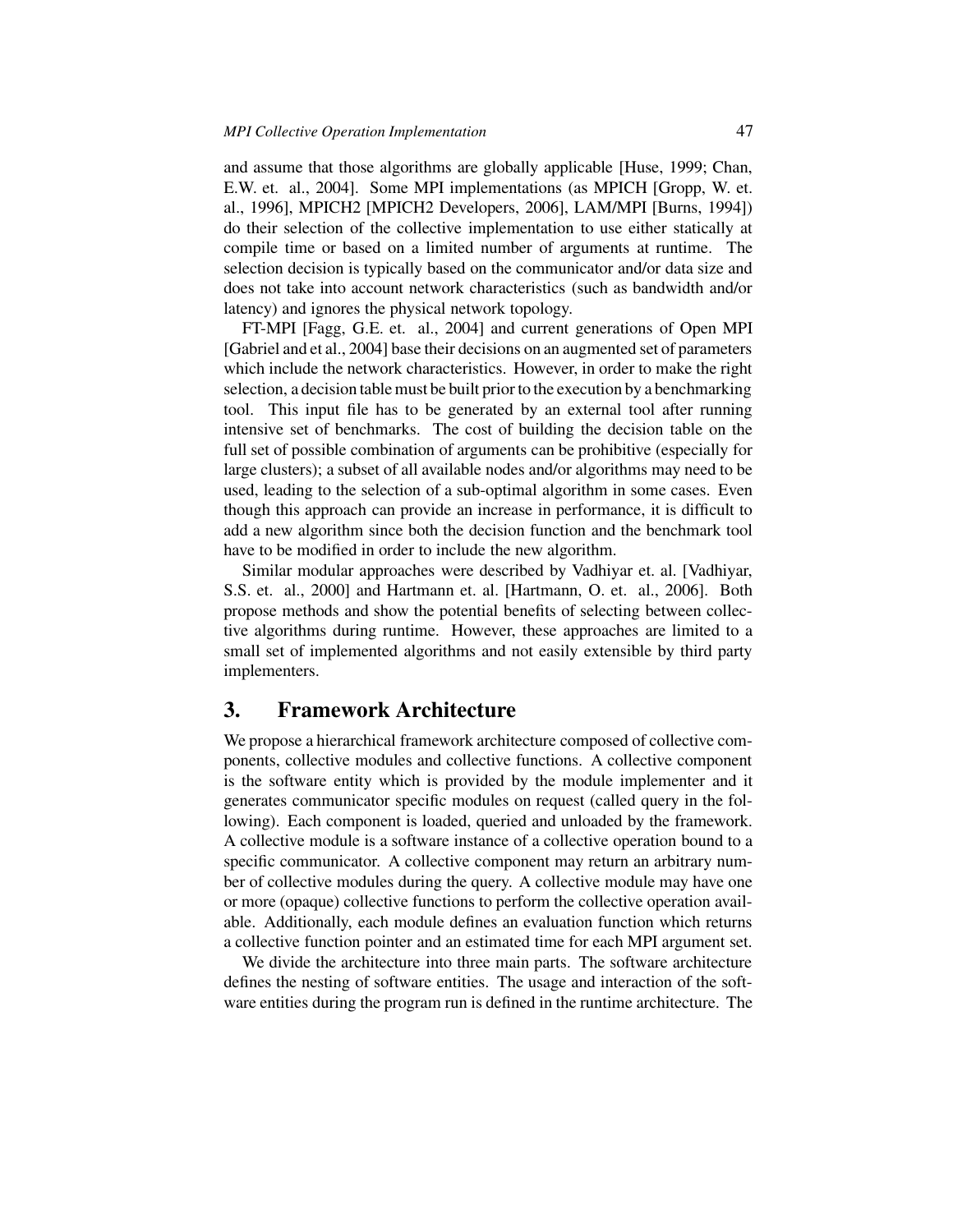and assume that those algorithms are globally applicable [Huse, 1999; Chan, E.W. et. al., 2004]. Some MPI implementations (as MPICH [Gropp, W. et. al., 1996], MPICH2 [MPICH2 Developers, 2006], LAM/MPI [Burns, 1994]) do their selection of the collective implementation to use either statically at compile time or based on a limited number of arguments at runtime. The selection decision is typically based on the communicator and/or data size and does not take into account network characteristics (such as bandwidth and/or latency) and ignores the physical network topology.

FT-MPI [Fagg, G.E. et. al., 2004] and current generations of Open MPI [Gabriel and et al., 2004] base their decisions on an augmented set of parameters which include the network characteristics. However, in order to make the right selection, a decision tablemust be built prior to the execution by a benchmarking tool. This input file has to be generated by an external tool after running intensive set of benchmarks. The cost of building the decision table on the full set of possible combination of arguments can be prohibitive (especially for large clusters); a subset of all available nodes and/or algorithms may need to be used, leading to the selection of a sub-optimal algorithm in some cases. Even though this approach can provide an increase in performance, it is difficult to add a new algorithm since both the decision function and the benchmark tool have to be modified in order to include the new algorithm.

Similar modular approaches were described by Vadhiyar et. al. [Vadhiyar, S.S. et. al., 2000] and Hartmann et. al. [Hartmann, O. et. al., 2006]. Both propose methods and show the potential benefits of selecting between collective algorithms during runtime. However, these approaches are limited to a small set of implemented algorithms and not easily extensible by third party implementers.

### **3. Framework Architecture**

We propose a hierarchical framework architecture composed of collective components, collective modules and collective functions. A collective component is the software entity which is provided by the module implementer and it generates communicator specific modules on request (called query in the following). Each component is loaded, queried and unloaded by the framework. A collective module is a software instance of a collective operation bound to a specific communicator. A collective component may return an arbitrary number of collective modules during the query. A collective module may have one or more (opaque) collective functions to perform the collective operation available. Additionally, each module defines an evaluation function which returns a collective function pointer and an estimated time for each MPI argument set.

We divide the architecture into three main parts. The software architecture defines the nesting of software entities. The usage and interaction of the software entities during the program run is defined in the runtime architecture. The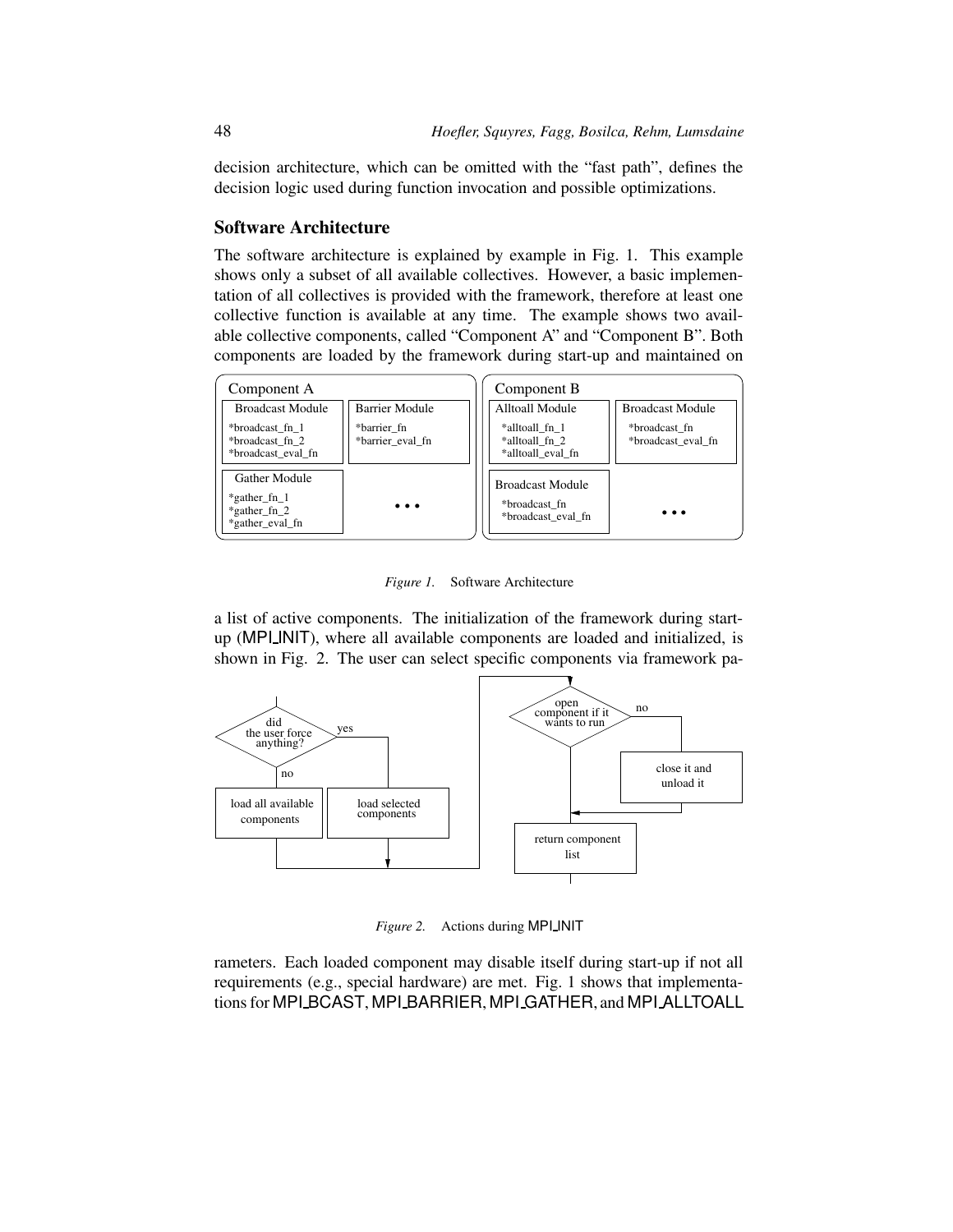decision architecture, which can be omitted with the "fast path", defines the decision logic used during function invocation and possible optimizations.

#### **Software Architecture**

The software architecture is explained by example in Fig. 1. This example shows only a subset of all available collectives. However, a basic implementation of all collectives is provided with the framework, therefore at least one collective function is available at any time. The example shows two available collective components, called "Component A" and "Component B". Both components are loaded by the framework during start-up and maintained on

| Component A                                                            |                                 | Component B                                                    |                                     |
|------------------------------------------------------------------------|---------------------------------|----------------------------------------------------------------|-------------------------------------|
| <b>Broadcast Module</b>                                                | <b>Barrier Module</b>           | Alltoall Module                                                | <b>Broadcast Module</b>             |
| *broadcast fn 1<br>*broadcast fn 2<br>*broadcast eval fn               | *barrier fn<br>*barrier eval fn | *alltoall fn 1<br>*alltoall fn 2<br>*alltoall eval fn          | *broadcast fn<br>*broadcast_eval_fn |
| Gather Module<br>$*$ gather fn 1<br>$*$ gather fn 2<br>*gather eval fn | .                               | <b>Broadcast Module</b><br>*broadcast fn<br>*broadcast eval fn | . .                                 |

*Figure 1.* Software Architecture

a list of active components. The initialization of the framework during startup (MPI INIT), where all available components are loaded and initialized, is shown in Fig. 2. The user can select specific components via framework pa-



*Figure 2.* Actions during MPI INIT

rameters. Each loaded component may disable itself during start-up if not all requirements (e.g., special hardware) are met. Fig. 1 shows that implementations for MPI BCAST, MPI BARRIER, MPI GATHER, and MPI ALLTOALL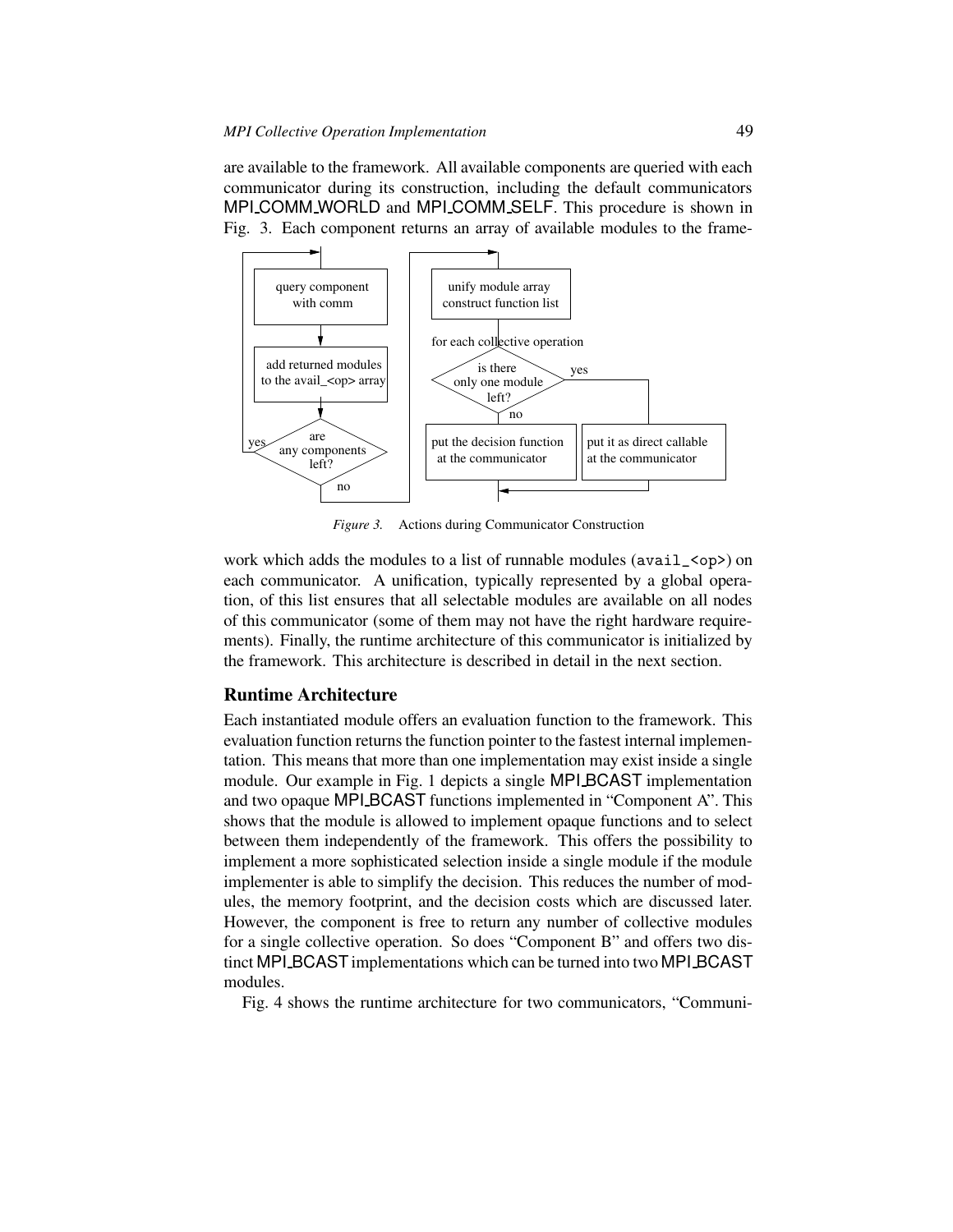are available to the framework. All available components are queried with each communicator during its construction, including the default communicators MPI COMM WORLD and MPI COMM SELF. This procedure is shown in Fig. 3. Each component returns an array of available modules to the frame-



*Figure 3.* Actions during Communicator Construction

work which adds the modules to a list of runnable modules ( $\alpha$ vail\_ $\alpha$ op>) on each communicator. A unification, typically represented by a global operation, of this list ensures that all selectable modules are available on all nodes of this communicator (some of them may not have the right hardware requirements). Finally, the runtime architecture of this communicator is initialized by the framework. This architecture is described in detail in the next section.

#### **Runtime Architecture**

Each instantiated module offers an evaluation function to the framework. This evaluation function returns the function pointer to the fastest internal implementation. This means that more than one implementation may exist inside a single module. Our example in Fig. 1 depicts a single MPI BCAST implementation and two opaque MPI BCAST functions implemented in "Component A". This shows that the module is allowed to implement opaque functions and to select between them independently of the framework. This offers the possibility to implement a more sophisticated selection inside a single module if the module implementer is able to simplify the decision. This reduces the number of modules, the memory footprint, and the decision costs which are discussed later. However, the component is free to return any number of collective modules for a single collective operation. So does "Component B" and offers two distinct MPI BCAST implementations which can be turned into two MPI BCAST modules.

Fig. 4 shows the runtime architecture for two communicators, "Communi-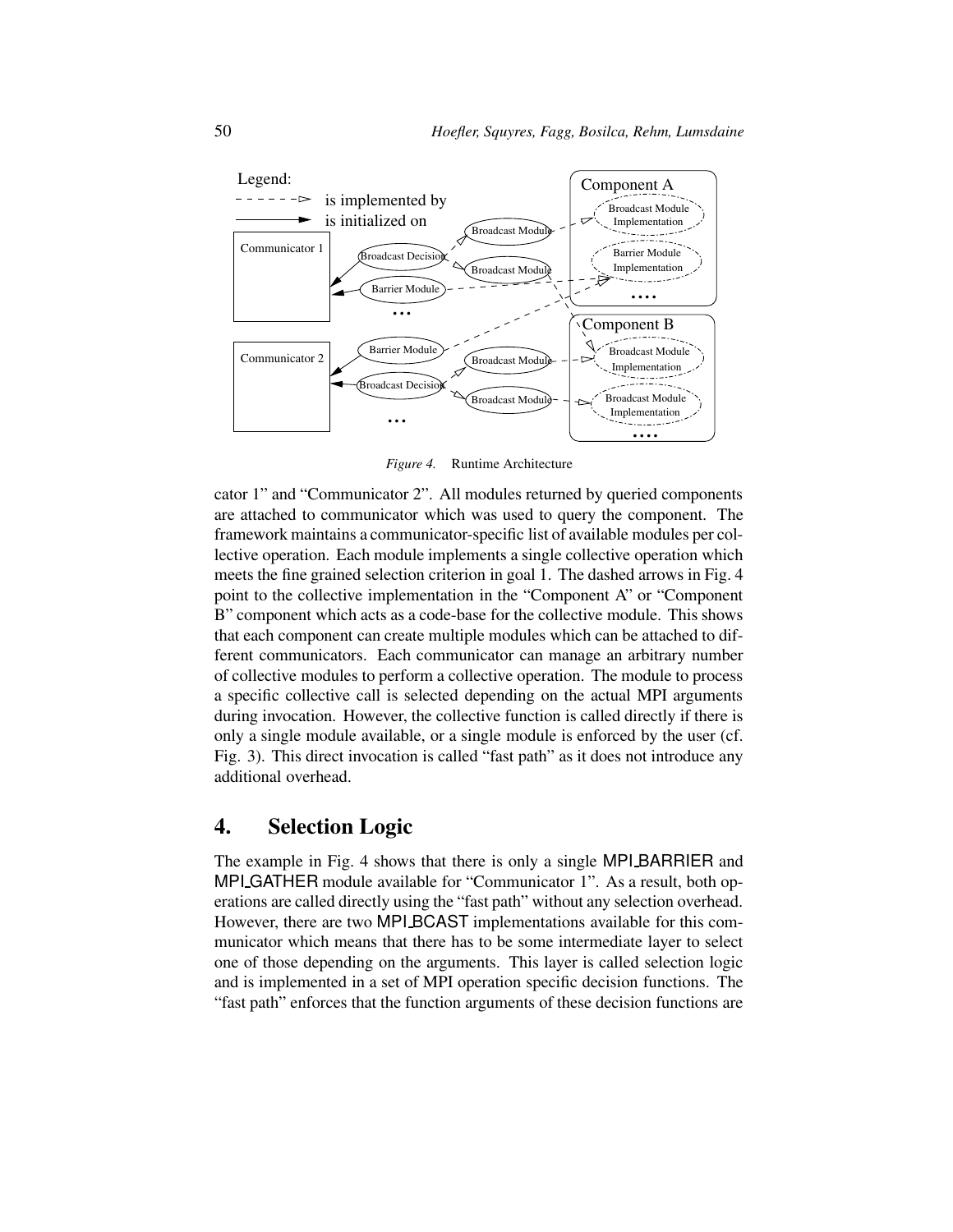

*Figure 4.* Runtime Architecture

cator 1" and "Communicator 2". All modules returned by queried components are attached to communicator which was used to query the component. The framework maintains a communicator-specific list of available modules per collective operation. Each module implements a single collective operation which meets the fine grained selection criterion in goal 1. The dashed arrows in Fig. 4 point to the collective implementation in the "Component A" or "Component B" component which acts as a code-base for the collective module. This shows that each component can create multiple modules which can be attached to different communicators. Each communicator can manage an arbitrary number of collective modules to perform a collective operation. The module to process a specific collective call is selected depending on the actual MPI arguments during invocation. However, the collective function is called directly if there is only a single module available, or a single module is enforced by the user (cf. Fig. 3). This direct invocation is called "fast path" as it does not introduce any additional overhead.

### **4. Selection Logic**

The example in Fig. 4 shows that there is only a single MPI BARRIER and MPI GATHER module available for "Communicator 1". As a result, both operations are called directly using the "fast path" without any selection overhead. However, there are two MPI BCAST implementations available for this communicator which means that there has to be some intermediate layer to select one of those depending on the arguments. This layer is called selection logic and is implemented in a set of MPI operation specific decision functions. The "fast path" enforces that the function arguments of these decision functions are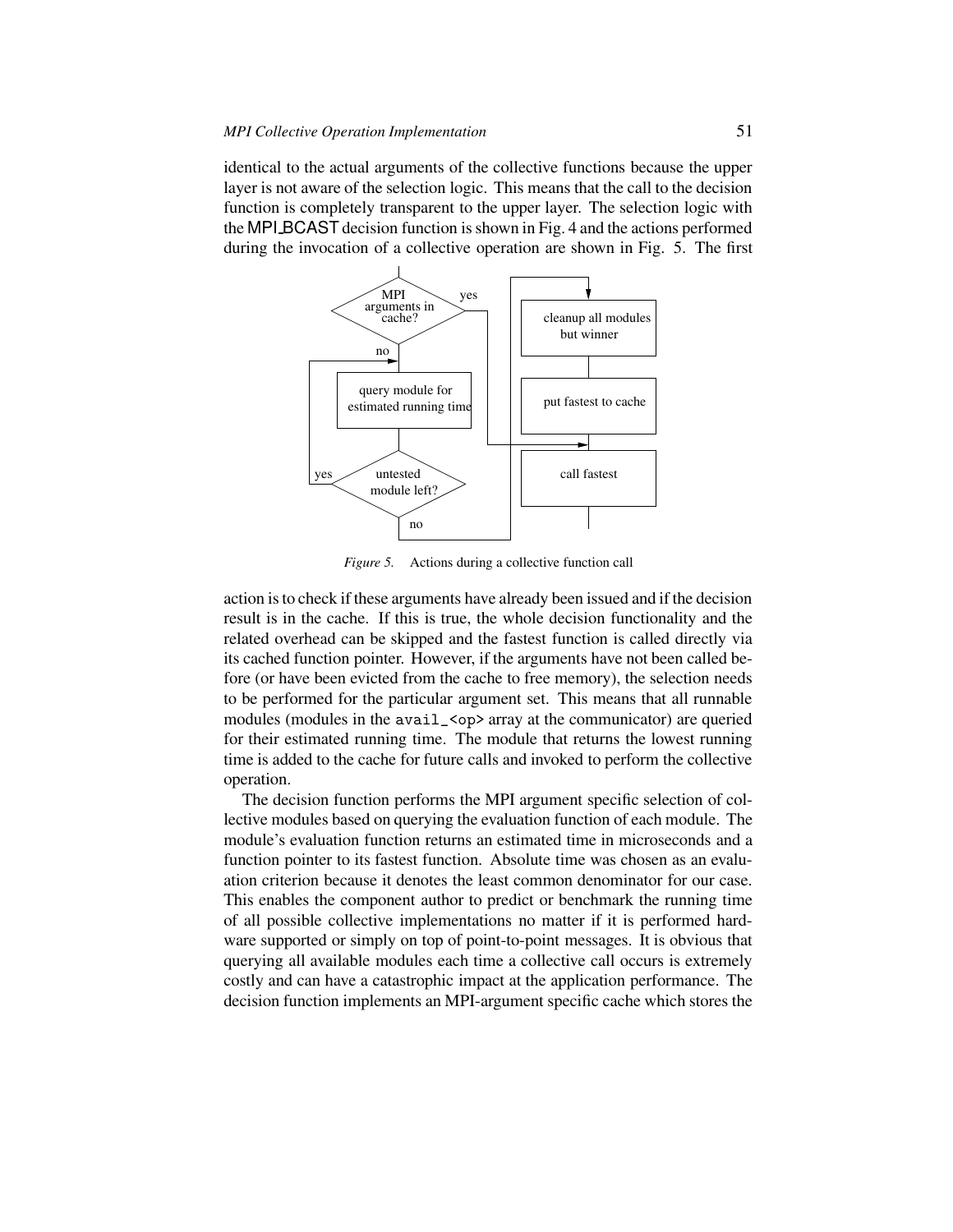identical to the actual arguments of the collective functions because the upper layer is not aware of the selection logic. This means that the call to the decision function is completely transparent to the upper layer. The selection logic with the MPI BCAST decision function isshown in Fig. 4 and the actions performed during the invocation of a collective operation are shown in Fig. 5. The first



*Figure* 5. Actions during a collective function call

action isto check if these arguments have already been issued and if the decision result is in the cache. If this is true, the whole decision functionality and the related overhead can be skipped and the fastest function is called directly via its cached function pointer. However, if the arguments have not been called before (or have been evicted from the cache to free memory), the selection needs to be performed for the particular argument set. This means that all runnable modules (modules in the avail\_<op> array at the communicator) are queried for their estimated running time. The module that returns the lowest running time is added to the cache for future calls and invoked to perform the collective operation.

The decision function performs the MPI argument specific selection of collective modules based on querying the evaluation function of each module. The module's evaluation function returns an estimated time in microseconds and a function pointer to its fastest function. Absolute time was chosen as an evaluation criterion because it denotes the least common denominator for our case. This enables the component author to predict or benchmark the running time of all possible collective implementations no matter if it is performed hardware supported or simply on top of point-to-point messages. It is obvious that querying all available modules each time a collective call occurs is extremely costly and can have a catastrophic impact at the application performance. The decision function implements an MPI-argument specific cache which stores the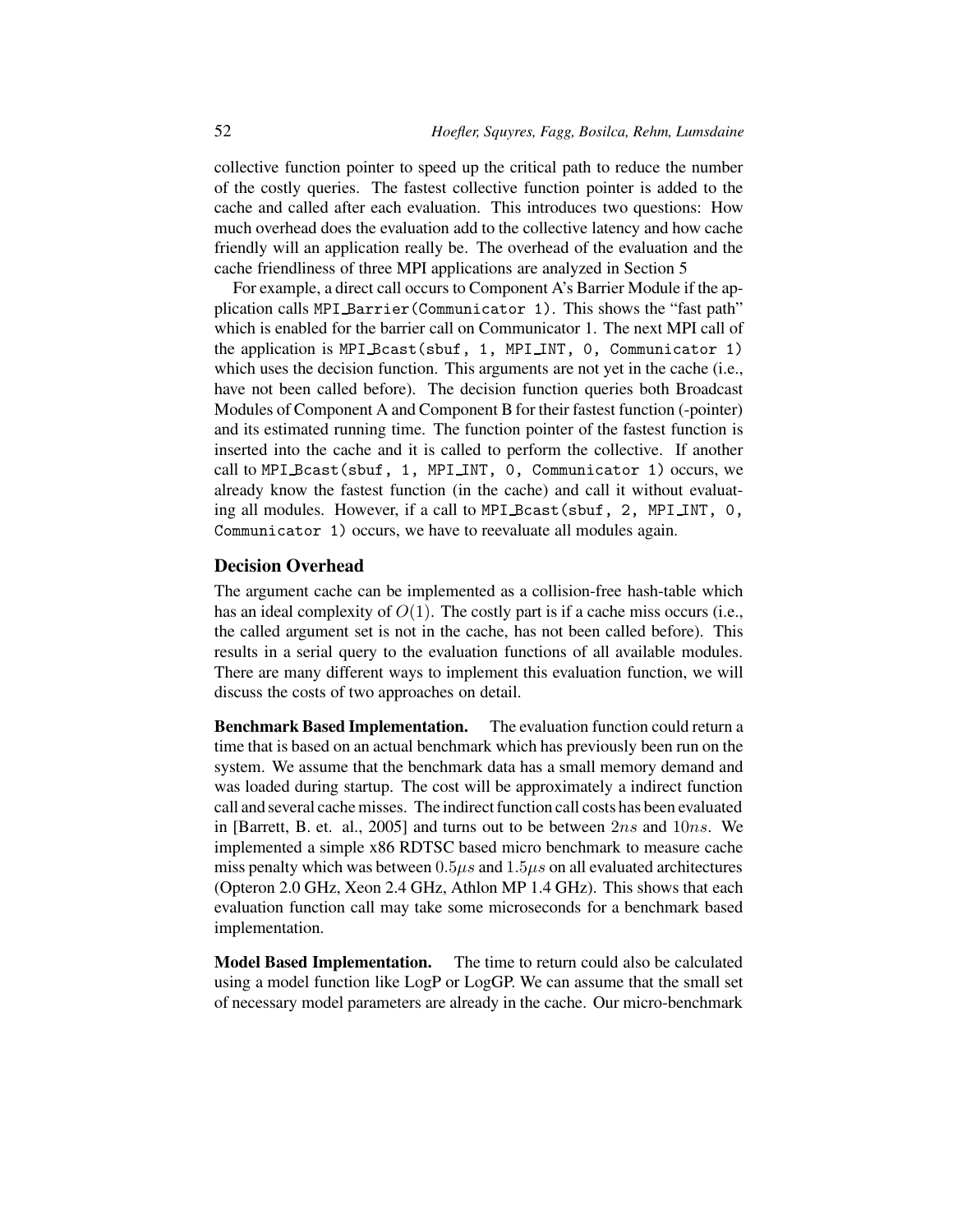collective function pointer to speed up the critical path to reduce the number of the costly queries. The fastest collective function pointer is added to the cache and called after each evaluation. This introduces two questions: How much overhead does the evaluation add to the collective latency and how cache friendly will an application really be. The overhead of the evaluation and the cache friendliness of three MPI applications are analyzed in Section 5

For example, a direct call occurs to Component A's Barrier Module if the application calls MPI Barrier(Communicator 1). This shows the "fast path" which is enabled for the barrier call on Communicator 1. The next MPI call of the application is MPI Bcast(sbuf, 1, MPI INT, 0, Communicator 1) which uses the decision function. This arguments are not yet in the cache (i.e., have not been called before). The decision function queries both Broadcast Modules of Component A and Component B for their fastest function (-pointer) and its estimated running time. The function pointer of the fastest function is inserted into the cache and it is called to perform the collective. If another call to MPI Bcast(sbuf, 1, MPI INT, 0, Communicator 1) occurs, we already know the fastest function (in the cache) and call it without evaluating all modules. However, if a call to MPI Bcast (sbuf, 2, MPI INT, 0, Communicator 1) occurs, we have to reevaluate all modules again.

#### **Decision Overhead**

The argument cache can be implemented as a collision-free hash-table which has an ideal complexity of  $O(1)$ . The costly part is if a cache miss occurs (i.e., the called argument set is not in the cache, has not been called before). This results in a serial query to the evaluation functions of all available modules. There are many different ways to implement this evaluation function, we will discuss the costs of two approaches on detail.

**Benchmark Based Implementation.** The evaluation function could return a time that is based on an actual benchmark which has previously been run on the system. We assume that the benchmark data has a small memory demand and was loaded during startup. The cost will be approximately a indirect function call and several cache misses. The indirect function call costs has been evaluated in [Barrett, B. et. al., 2005] and turns out to be between 2ns and 10ns. We implemented a simple x86 RDTSC based micro benchmark to measure cache miss penalty which was between  $0.5\mu s$  and  $1.5\mu s$  on all evaluated architectures (Opteron 2.0 GHz, Xeon 2.4 GHz, Athlon MP 1.4 GHz). This shows that each evaluation function call may take some microseconds for a benchmark based implementation.

**Model Based Implementation.** The time to return could also be calculated using a model function like LogP or LogGP. We can assume that the small set of necessary model parameters are already in the cache. Our micro-benchmark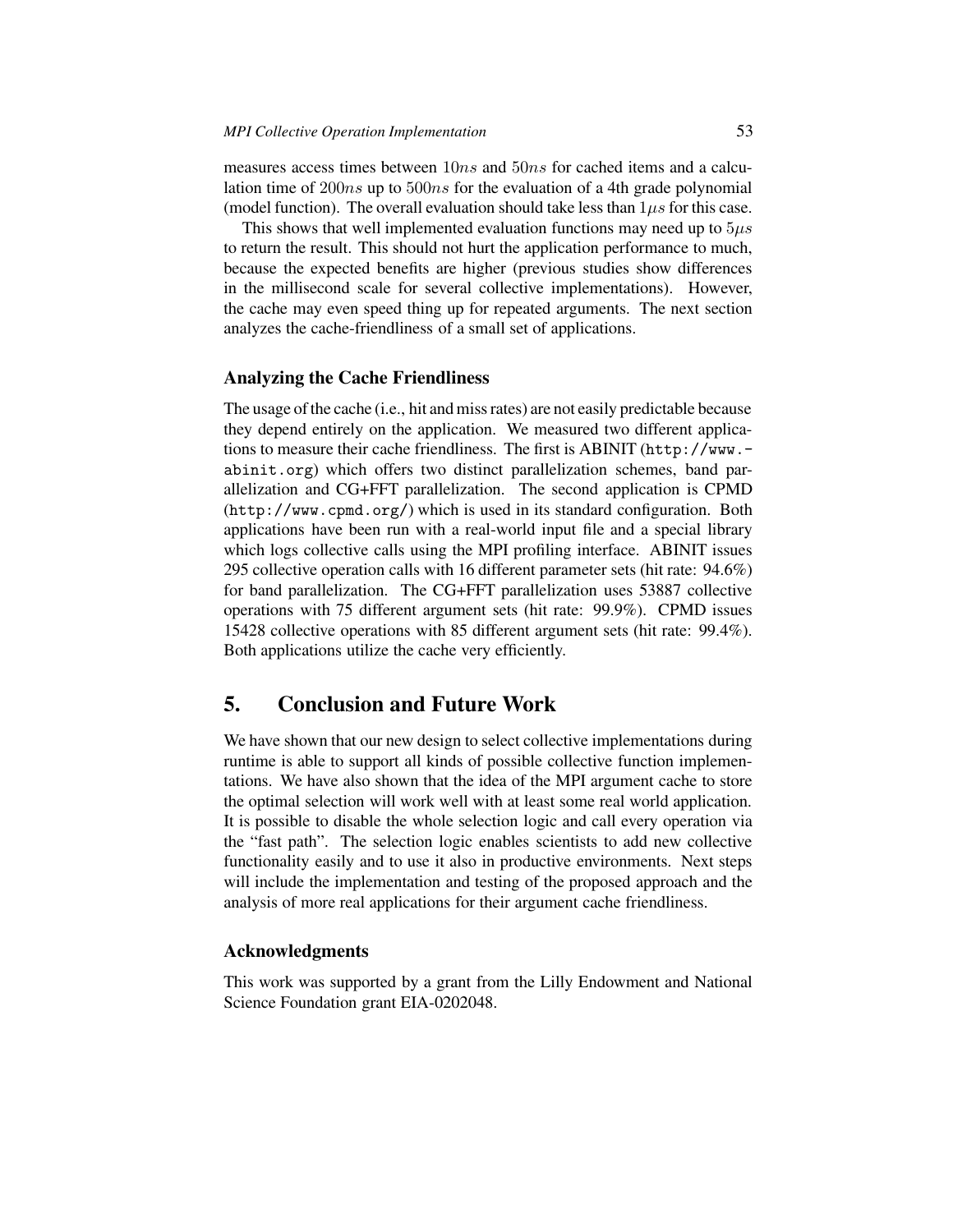measures access times between  $10ns$  and  $50ns$  for cached items and a calculation time of 200ns up to 500ns for the evaluation of a 4th grade polynomial (model function). The overall evaluation should take less than  $1\mu s$  for this case.

This shows that well implemented evaluation functions may need up to  $5\mu s$ to return the result. This should not hurt the application performance to much, because the expected benefits are higher (previous studies show differences in the millisecond scale for several collective implementations). However, the cache may even speed thing up for repeated arguments. The next section analyzes the cache-friendliness of a small set of applications.

#### **Analyzing the Cache Friendliness**

The usage of the cache (i.e., hit and missrates) are not easily predictable because they depend entirely on the application. We measured two different applications to measure their cache friendliness. The first is ABINIT (http://www. abinit.org) which offers two distinct parallelization schemes, band parallelization and CG+FFT parallelization. The second application is CPMD (http://www.cpmd.org/) which is used in its standard configuration. Both applications have been run with a real-world input file and a special library which logs collective calls using the MPI profiling interface. ABINIT issues 295 collective operation calls with 16 different parameter sets (hit rate: 94.6%) for band parallelization. The CG+FFT parallelization uses 53887 collective operations with 75 different argument sets (hit rate: 99.9%). CPMD issues 15428 collective operations with 85 different argument sets (hit rate: 99.4%). Both applications utilize the cache very efficiently.

## **5. Conclusion and Future Work**

We have shown that our new design to select collective implementations during runtime is able to support all kinds of possible collective function implementations. We have also shown that the idea of the MPI argument cache to store the optimal selection will work well with at least some real world application. It is possible to disable the whole selection logic and call every operation via the "fast path". The selection logic enables scientists to add new collective functionality easily and to use it also in productive environments. Next steps will include the implementation and testing of the proposed approach and the analysis of more real applications for their argument cache friendliness.

#### **Acknowledgments**

This work was supported by a grant from the Lilly Endowment and National Science Foundation grant EIA-0202048.